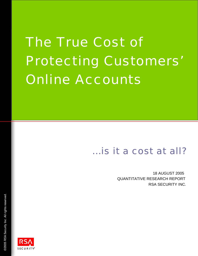# The True Cost of Protecting Customers' Online Accounts

## *…is it a cost at all?*

18 AUGUST 2005 QUANTITATIVE RESEARCH REPORT RSA SECURITY INC.

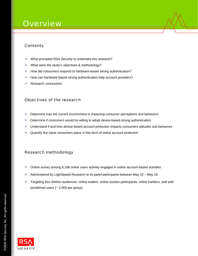### **Overview**

#### **Contents**

- » What prompted RSA Security to undertake this research?
- » What were the study's objectives & methodology?
- » How did consumers respond to hardware-based strong authentication?
- » How can hardware-based strong authentication help account providers?
- » Research conclusions

#### Objectives of the research

- » Determine how the current environment is impacting consumer perceptions and behaviors
- » Determine if consumers would be willing to adopt device-based strong authentication
- » Understand if and how device-based account protection impacts consumers attitudes and behaviors
- » Quantify the value consumers place in this form of online account protection

#### Research methodology

- » Online survey among 8,198 online users actively engaged in online account-based activities
- » Administered by LightSpeed Research to its panel participants between May 10 May 18
- » Targeting four distinct audiences: online traders, online auction participants, online bankers, and web portal/mail users (~ 2,000 per group)

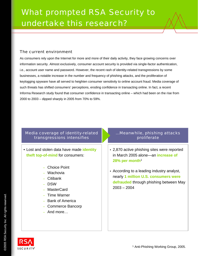#### The current environment

As consumers rely upon the Internet for more and more of their daily activity, they face growing concerns over information security. Almost exclusively, consumer account security is provided via single-factor authentication, i.e., account user name and password. However, the recent rash of identity-related transgressions by some businesses, a notable increase in the number and frequency of phishing attacks, and the proliferation of keylogging spyware have all served to heighten consumer sensitivity to online account fraud. Media coverage of such threats has shifted consumers' perceptions, eroding confidence in transacting online. In fact, a recent Informa Research study found that consumer confidence in transacting online – which had been on the rise from 2000 to 2003 – dipped sharply in 2005 from 70% to 59%.

#### Media coverage of identity-related transgressions intensifies

- Lost and stolen data have made **identity theft top-of-mind** for consumers:
	- Choice Point
	- Wachovia
	- Citibank
	- DSW
	- MasterCard
	- Time Warner
	- Bank of America
	- Commerce Bancorp
	- And more…

#### …Meanwhile, phishing attacks proliferate

- 2,870 active phishing sites were reported in March 2005 alone—an **increase of 28% per month**<sup>1</sup>
- According to a leading industry analyst, nearly **1 million U.S. consumers were defrauded** through phishing between May 2003 – 2004

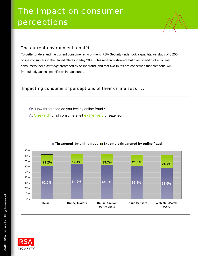#### The current environment, cont'd

To better understand the current consumer environment, RSA Security undertook a quantitative study of 8,200 online consumers in the United States in May 2005. This research showed that over one-fifth of all online consumers feel *extremely* threatened by online fraud, and that two-thirds are concerned that someone will fraudulently access specific online accounts.

#### Impacting consumers' perceptions of their online security

Q: "How threatened do you feel by online fraud?"

A: One-fifth of all consumers felt extremely threatened



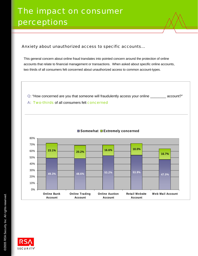#### Anxiety about unauthorized access to specific accounts…

This general concern about online fraud translates into pointed concern around the protection of online accounts that relate to financial management or transactions. When asked about specific online accounts, two thirds of all consumers felt concerned about unauthorized access to common account-types.

- Q: "How concerned are you that someone will fraudulently access your online \_\_\_\_\_\_\_\_ account?"
- A: Two-thirds of all consumers felt concerned



#### **Somewhat Extremely concerned**

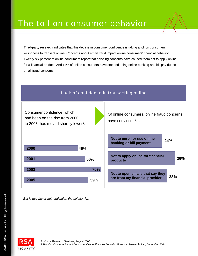Third-party research indicates that this decline in consumer confidence is taking a toll on consumers' willingness to transact online. Concerns about email fraud impact online consumers' financial behavior. Twenty-six percent of online consumers report that phishing concerns have caused them not to apply online for a financial product. And 14% of online consumers have stopped using online banking and bill pay due to email fraud concerns.



*But is two-factor authentication the solution?...*

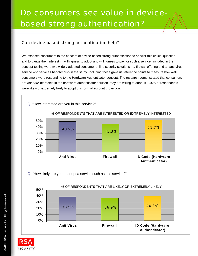#### Can device-based strong authentication help?

We exposed consumers to the concept of device-based strong authentication to answer this critical question – and to gauge their interest in, willingness to adopt and willingness to pay for such a service. Included in the concept-testing were two widely-adopted consumer online security solutions – a firewall offering and an anti-virus service – to serve as benchmarks in the study. Including these gave us reference points to measure how well consumers were responding to the Hardware Authenticator concept. The research demonstrated that consumers are *not only* interested in the hardware authenticator solution, they are willing to adopt it – 40% of respondents were likely or extremely likely to adopt this form of account protection.



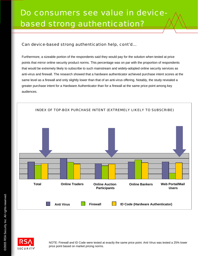#### Can device-based strong authentication help, cont'd…

Furthermore, a sizeable portion of the respondents said they would pay for the solution when tested at price points that mirror online security product norms. This percentage was on par with the proportion of respondents that would be extremely likely to subscribe to such mainstream and widely-adopted online security services as anti-virus and firewall. The research showed that a hardware authenticator achieved purchase intent scores at the same level as a firewall and only slightly lower than that of an anti-virus offering. Notably, the study revealed a greater purchase intent for a Hardware Authenticator than for a firewall at the same price point among key audiences.



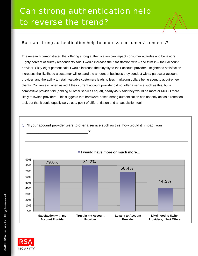#### But can strong authentication help to address consumers' concerns?

The research demonstrated that offering strong authentication can impact consumer attitudes and behaviors. Eighty percent of survey respondents said it would increase their satisfaction with – and trust in – their account provider. Sixty-eight percent said it would increase their loyalty to their account provider. Heightened satisfaction increases the likelihood a customer will expand the amount of business they conduct with a particular account provider, and the ability to retain valuable customers leads to less marketing dollars being spent to acquire new clients. Conversely, when asked if their current account provider did not offer a service such as this, but a competitive provider did (holding all other services equal), nearly 45% said they would be more or MUCH more likely to switch providers. This suggests that hardware-based strong authentication can not only act as a retention tool, but that it could equally serve as a point of differentiation and an acquisition tool.

Q: "If your account provider were to offer a service such as this, how would it impact your

\_\_\_\_\_\_\_\_\_\_\_\_\_\_\_\_\_\_\_\_\_\_\_\_\_\_\_\_\_\_\_?"



#### **I would have more or much more…**

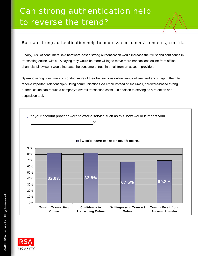#### But can strong authentication help to address consumers' concerns, cont'd…

Finally, 82% of consumers said hardware-based strong authentication would increase their trust and confidence in transacting online, with 67% saying they would be more willing to move more transactions online from offline channels. Likewise, it would increase the consumers' trust in email from an account provider.

By empowering consumers to conduct more of their transactions online versus offline, and encouraging them to receive important relationship-building communications via email instead of snail-mail, hardware-based strong authentication can reduce a company's overall transaction costs – in addition to serving as a retention and acquisition tool.